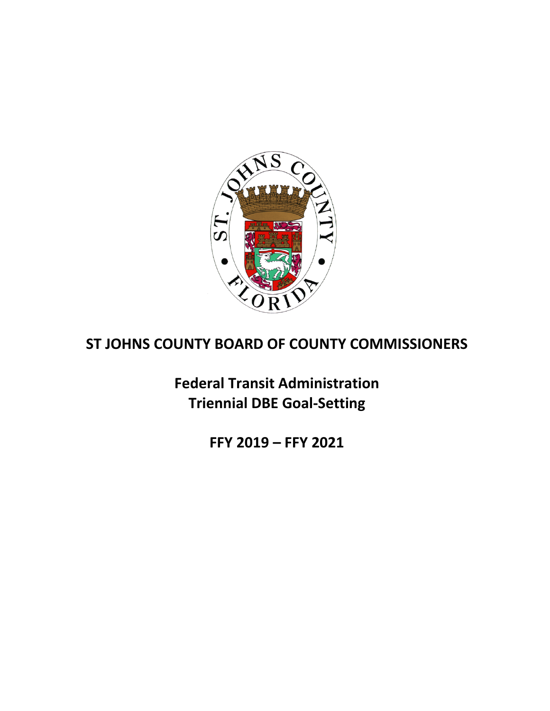

# **ST JOHNS COUNTY BOARD OF COUNTY COMMISSIONERS**

**Federal Transit Administration Triennial DBE Goal‐Setting**

**FFY 2019 – FFY 2021**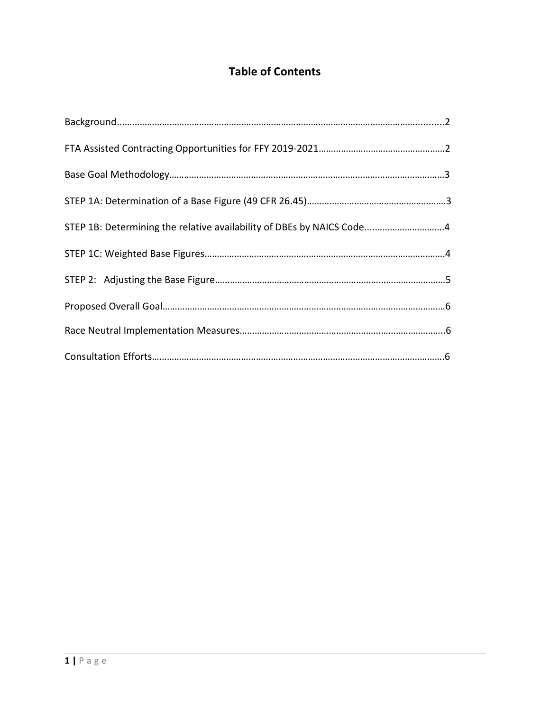## **Table of Contents**

| STEP 1B: Determining the relative availability of DBEs by NAICS Code4 |  |
|-----------------------------------------------------------------------|--|
|                                                                       |  |
|                                                                       |  |
|                                                                       |  |
|                                                                       |  |
|                                                                       |  |
|                                                                       |  |
|                                                                       |  |
|                                                                       |  |
|                                                                       |  |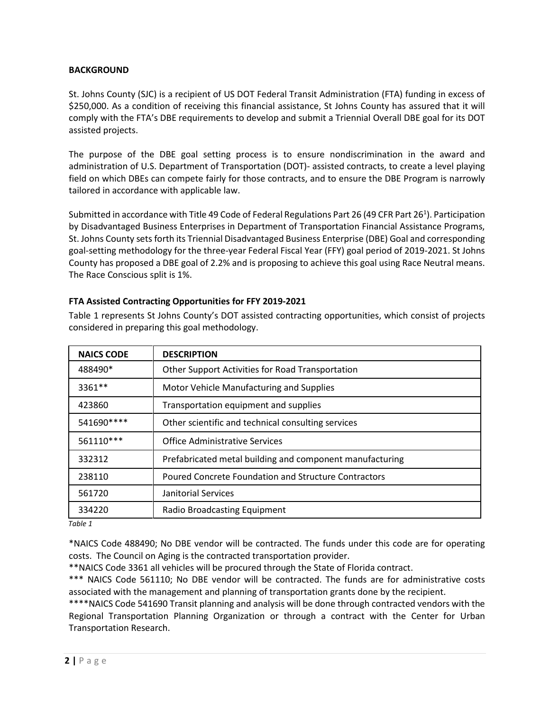## **BACKGROUND**

St. Johns County (SJC) is a recipient of US DOT Federal Transit Administration (FTA) funding in excess of \$250,000. As a condition of receiving this financial assistance, St Johns County has assured that it will comply with the FTA's DBE requirements to develop and submit a Triennial Overall DBE goal for its DOT assisted projects.

The purpose of the DBE goal setting process is to ensure nondiscrimination in the award and administration of U.S. Department of Transportation (DOT)- assisted contracts, to create a level playing field on which DBEs can compete fairly for those contracts, and to ensure the DBE Program is narrowly tailored in accordance with applicable law.

Submitted in accordance with Title 49 Code of Federal Regulations Part 26 (49 CFR Part 26<sup>1</sup>). Participation by Disadvantaged Business Enterprises in Department of Transportation Financial Assistance Programs, St. Johns County sets forth its Triennial Disadvantaged Business Enterprise (DBE) Goal and corresponding goal-setting methodology for the three-year Federal Fiscal Year (FFY) goal period of 2019-2021. St Johns County has proposed a DBE goal of 2.2% and is proposing to achieve this goal using Race Neutral means. The Race Conscious split is 1%.

| <b>NAICS CODE</b> | <b>DESCRIPTION</b>                                       |
|-------------------|----------------------------------------------------------|
| 488490*           | Other Support Activities for Road Transportation         |
| 3361**            | Motor Vehicle Manufacturing and Supplies                 |
| 423860            | Transportation equipment and supplies                    |
| 541690 ****       | Other scientific and technical consulting services       |
| 561110 ***        | <b>Office Administrative Services</b>                    |
| 332312            | Prefabricated metal building and component manufacturing |
| 238110            | Poured Concrete Foundation and Structure Contractors     |
| 561720            | Janitorial Services                                      |
| 334220            | Radio Broadcasting Equipment                             |

## **FTA Assisted Contracting Opportunities for FFY 2019-2021**

Table 1 represents St Johns County's DOT assisted contracting opportunities, which consist of projects considered in preparing this goal methodology.

 *Table 1*

\*NAICS Code 488490; No DBE vendor will be contracted. The funds under this code are for operating costs. The Council on Aging is the contracted transportation provider.

\*\*NAICS Code 3361 all vehicles will be procured through the State of Florida contract.

\*\*\* NAICS Code 561110; No DBE vendor will be contracted. The funds are for administrative costs associated with the management and planning of transportation grants done by the recipient.

\*\*\*\*NAICS Code 541690 Transit planning and analysis will be done through contracted vendors with the Regional Transportation Planning Organization or through a contract with the Center for Urban Transportation Research.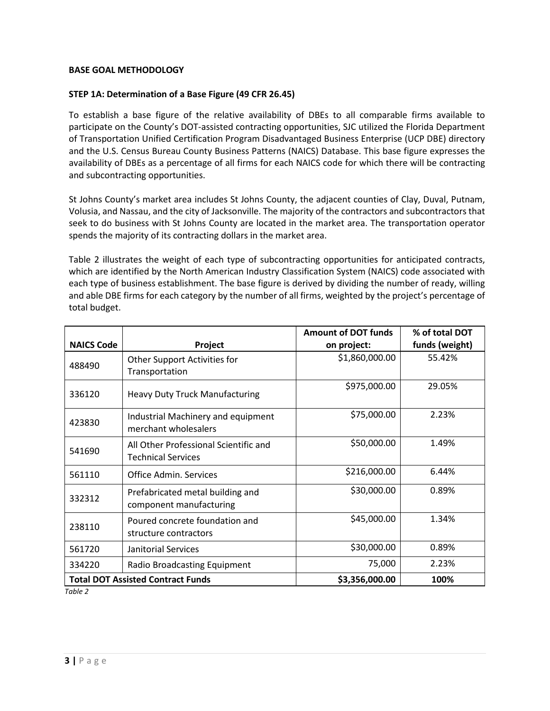## **BASE GOAL METHODOLOGY**

### **STEP 1A: Determination of a Base Figure (49 CFR 26.45)**

To establish a base figure of the relative availability of DBEs to all comparable firms available to participate on the County's DOT-assisted contracting opportunities, SJC utilized the Florida Department of Transportation Unified Certification Program Disadvantaged Business Enterprise (UCP DBE) directory and the U.S. Census Bureau County Business Patterns (NAICS) Database. This base figure expresses the availability of DBEs as a percentage of all firms for each NAICS code for which there will be contracting and subcontracting opportunities.

St Johns County's market area includes St Johns County, the adjacent counties of Clay, Duval, Putnam, Volusia, and Nassau, and the city of Jacksonville. The majority of the contractors and subcontractors that seek to do business with St Johns County are located in the market area. The transportation operator spends the majority of its contracting dollars in the market area.

Table 2 illustrates the weight of each type of subcontracting opportunities for anticipated contracts, which are identified by the North American Industry Classification System (NAICS) code associated with each type of business establishment. The base figure is derived by dividing the number of ready, willing and able DBE firms for each category by the number of all firms, weighted by the project's percentage of total budget.

|                   |                                                                    | <b>Amount of DOT funds</b> | % of total DOT |
|-------------------|--------------------------------------------------------------------|----------------------------|----------------|
| <b>NAICS Code</b> | Project                                                            | on project:                | funds (weight) |
| 488490            | Other Support Activities for<br>Transportation                     | \$1,860,000.00             | 55.42%         |
| 336120            | <b>Heavy Duty Truck Manufacturing</b>                              | \$975,000.00               | 29.05%         |
| 423830            | Industrial Machinery and equipment<br>merchant wholesalers         | \$75,000.00                | 2.23%          |
| 541690            | All Other Professional Scientific and<br><b>Technical Services</b> | \$50,000.00                | 1.49%          |
| 561110            | Office Admin. Services                                             | \$216,000.00               | 6.44%          |
| 332312            | Prefabricated metal building and<br>component manufacturing        | \$30,000.00                | 0.89%          |
| 238110            | Poured concrete foundation and<br>structure contractors            | \$45,000.00                | 1.34%          |
| 561720            | Janitorial Services                                                | \$30,000.00                | 0.89%          |
| 334220            | <b>Radio Broadcasting Equipment</b>                                | 75,000                     | 2.23%          |
|                   | <b>Total DOT Assisted Contract Funds</b>                           | \$3,356,000.00             | 100%           |

*Table 2*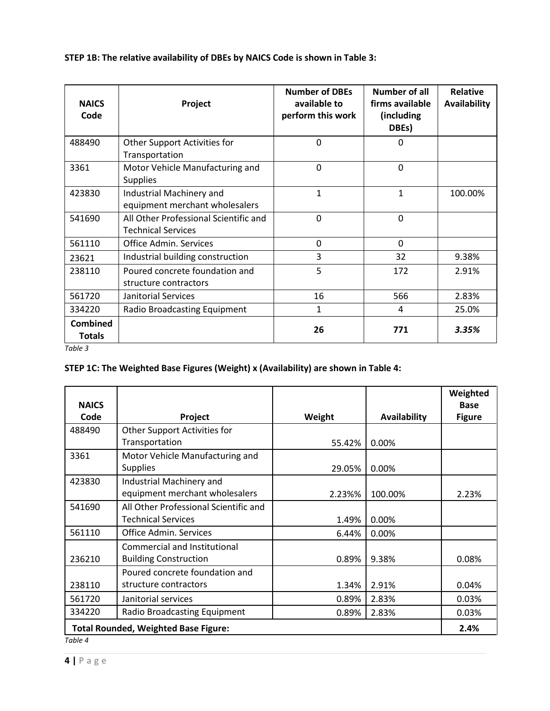| <b>NAICS</b><br>Code             | Project                                                            | <b>Number of DBEs</b><br>available to<br>perform this work | Number of all<br>firms available<br>(including<br>DBEs) | <b>Relative</b><br>Availability |
|----------------------------------|--------------------------------------------------------------------|------------------------------------------------------------|---------------------------------------------------------|---------------------------------|
| 488490                           | Other Support Activities for<br>Transportation                     | 0                                                          | 0                                                       |                                 |
| 3361                             | Motor Vehicle Manufacturing and<br><b>Supplies</b>                 | $\mathbf 0$                                                | $\mathbf 0$                                             |                                 |
| 423830                           | Industrial Machinery and<br>equipment merchant wholesalers         | 1                                                          | 1                                                       | 100.00%                         |
| 541690                           | All Other Professional Scientific and<br><b>Technical Services</b> | $\overline{0}$                                             | $\Omega$                                                |                                 |
| 561110                           | <b>Office Admin. Services</b>                                      | 0                                                          | $\Omega$                                                |                                 |
| 23621                            | Industrial building construction                                   | 3                                                          | 32                                                      | 9.38%                           |
| 238110                           | Poured concrete foundation and<br>structure contractors            | 5                                                          | 172                                                     | 2.91%                           |
| 561720                           | Janitorial Services                                                | 16                                                         | 566                                                     | 2.83%                           |
| 334220                           | Radio Broadcasting Equipment                                       | 1                                                          | 4                                                       | 25.0%                           |
| <b>Combined</b><br><b>Totals</b> |                                                                    | 26                                                         | 771                                                     | 3.35%                           |

**STEP 1B: The relative availability of DBEs by NAICS Code is shown in Table 3:**

*Table 3*

## **STEP 1C: The Weighted Base Figures (Weight) x (Availability) are shown in Table 4:**

| <b>NAICS</b>        |                                                                    |        |              | Weighted<br><b>Base</b> |
|---------------------|--------------------------------------------------------------------|--------|--------------|-------------------------|
| Code                | Project                                                            | Weight | Availability | <b>Figure</b>           |
| 488490              | Other Support Activities for<br>Transportation                     | 55.42% | 0.00%        |                         |
| 3361                | Motor Vehicle Manufacturing and<br><b>Supplies</b>                 | 29.05% | 0.00%        |                         |
| 423830              | Industrial Machinery and<br>equipment merchant wholesalers         | 2.23%% | 100.00%      | 2.23%                   |
| 541690              | All Other Professional Scientific and<br><b>Technical Services</b> | 1.49%  | 0.00%        |                         |
| 561110              | Office Admin. Services                                             | 6.44%  | 0.00%        |                         |
| 236210              | Commercial and Institutional<br><b>Building Construction</b>       | 0.89%  | 9.38%        | 0.08%                   |
| 238110              | Poured concrete foundation and<br>structure contractors            | 1.34%  | 2.91%        | 0.04%                   |
| 561720              | Janitorial services                                                | 0.89%  | 2.83%        | 0.03%                   |
| 334220              | Radio Broadcasting Equipment                                       | 0.89%  | 2.83%        | 0.03%                   |
| $T_0$ hlo $\Lambda$ | <b>Total Rounded, Weighted Base Figure:</b>                        |        |              | 2.4%                    |

*Table 4*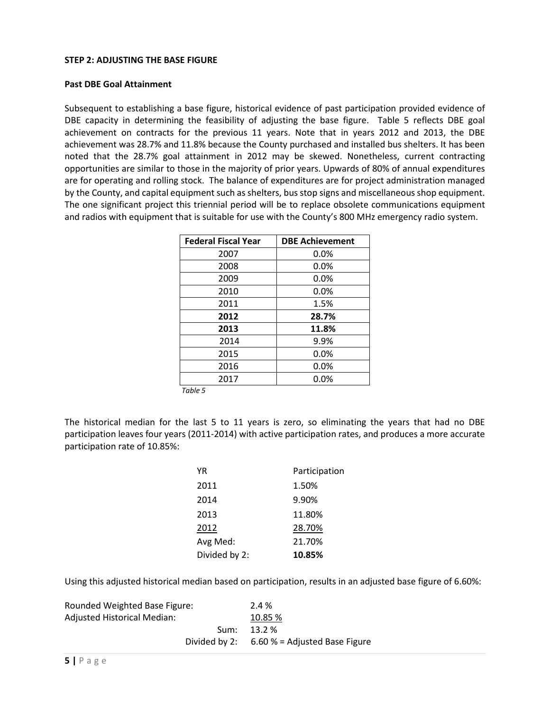### **STEP 2: ADJUSTING THE BASE FIGURE**

### **Past DBE Goal Attainment**

Subsequent to establishing a base figure, historical evidence of past participation provided evidence of DBE capacity in determining the feasibility of adjusting the base figure. Table 5 reflects DBE goal achievement on contracts for the previous 11 years. Note that in years 2012 and 2013, the DBE achievement was 28.7% and 11.8% because the County purchased and installed bus shelters. It has been noted that the 28.7% goal attainment in 2012 may be skewed. Nonetheless, current contracting opportunities are similar to those in the majority of prior years. Upwards of 80% of annual expenditures are for operating and rolling stock. The balance of expenditures are for project administration managed by the County, and capital equipment such as shelters, bus stop signs and miscellaneous shop equipment. The one significant project this triennial period will be to replace obsolete communications equipment and radios with equipment that is suitable for use with the County's 800 MHz emergency radio system.

| <b>Federal Fiscal Year</b> | <b>DBE Achievement</b> |
|----------------------------|------------------------|
| 2007                       | 0.0%                   |
| 2008                       | 0.0%                   |
| 2009                       | 0.0%                   |
| 2010                       | 0.0%                   |
| 2011                       | 1.5%                   |
| 2012                       | 28.7%                  |
| 2013                       | 11.8%                  |
| 2014                       | 9.9%                   |
| 2015                       | 0.0%                   |
| 2016                       | 0.0%                   |
| 2017                       | $0.0\%$                |

 *Table 5*

The historical median for the last 5 to 11 years is zero, so eliminating the years that had no DBE participation leaves four years (2011-2014) with active participation rates, and produces a more accurate participation rate of 10.85%:

| ΥR            | Participation |
|---------------|---------------|
| 2011          | 1.50%         |
| 2014          | 9.90%         |
| 2013          | 11.80%        |
| 2012          | 28.70%        |
| Avg Med:      | 21.70%        |
| Divided by 2: | 10.85%        |

Using this adjusted historical median based on participation, results in an adjusted base figure of 6.60%:

| Rounded Weighted Base Figure: | 2.4 %                           |
|-------------------------------|---------------------------------|
| Adjusted Historical Median:   | 10.85 %                         |
| Sum:                          | $13.2\%$                        |
| Divided by 2:                 | $6.60$ % = Adjusted Base Figure |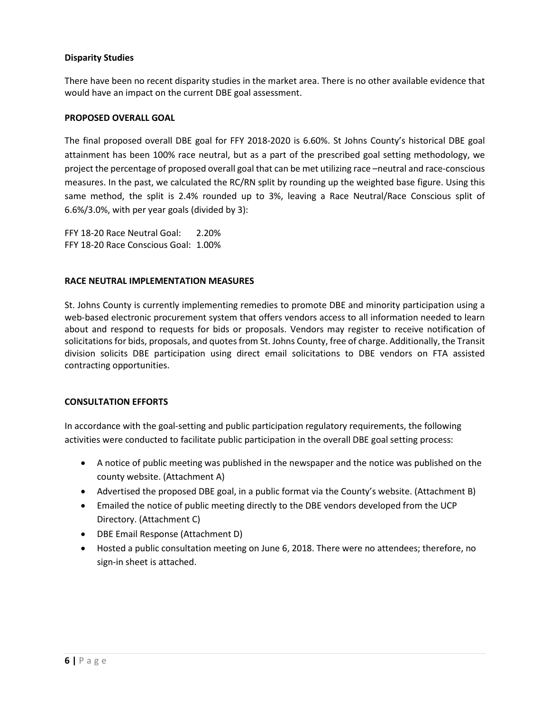## **Disparity Studies**

There have been no recent disparity studies in the market area. There is no other available evidence that would have an impact on the current DBE goal assessment.

## **PROPOSED OVERALL GOAL**

The final proposed overall DBE goal for FFY 2018-2020 is 6.60%. St Johns County's historical DBE goal attainment has been 100% race neutral, but as a part of the prescribed goal setting methodology, we project the percentage of proposed overall goal that can be met utilizing race –neutral and race-conscious measures. In the past, we calculated the RC/RN split by rounding up the weighted base figure. Using this same method, the split is 2.4% rounded up to 3%, leaving a Race Neutral/Race Conscious split of 6.6%/3.0%, with per year goals (divided by 3):

FFY 18-20 Race Neutral Goal: 2.20% FFY 18-20 Race Conscious Goal: 1.00%

## **RACE NEUTRAL IMPLEMENTATION MEASURES**

St. Johns County is currently implementing remedies to promote DBE and minority participation using a web-based electronic procurement system that offers vendors access to all information needed to learn about and respond to requests for bids or proposals. Vendors may register to receive notification of solicitations for bids, proposals, and quotes from St. Johns County, free of charge. Additionally, the Transit division solicits DBE participation using direct email solicitations to DBE vendors on FTA assisted contracting opportunities.

## **CONSULTATION EFFORTS**

In accordance with the goal-setting and public participation regulatory requirements, the following activities were conducted to facilitate public participation in the overall DBE goal setting process:

- A notice of public meeting was published in the newspaper and the notice was published on the county website. (Attachment A)
- Advertised the proposed DBE goal, in a public format via the County's website. (Attachment B)
- Emailed the notice of public meeting directly to the DBE vendors developed from the UCP Directory. (Attachment C)
- DBE Email Response (Attachment D)
- Hosted a public consultation meeting on June 6, 2018. There were no attendees; therefore, no sign-in sheet is attached.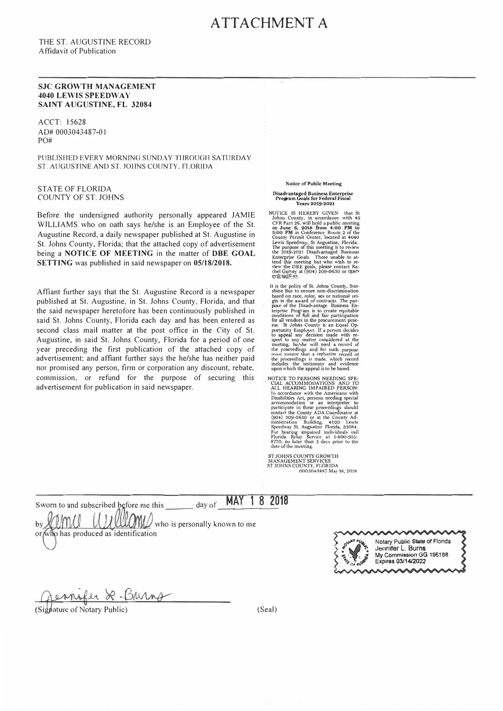## ATTACHMENT A

THE ST. AUGUSTINE RECORD Affidavit of Publication

#### **SJC GROWTH MANAGEMENT 4040 LEWIS SPEEDWAY SAINT AUGUSTINE, FL 32084**

ACCT: 15628 AD# 0003043487-0 I PO#

PUBLISHED EVERY MORNING SUNDAY THROUGH SATURDAY ST. AUGUSTINE AND ST. JOHNS COUNTY, FLORIDA

STATE OF FLORIDA COUNTY OF ST. JOHNS

Before the undersigned authority personally appeared JAMIE WILLIAMS who on oath says he/she is an Employee of the St. Augustine Record, a daily newspaper published at St. Augustine in St. Johns County, Florida; that the attached copy of advertisement being a **NOTICE OF MEETING** in the matter of **DBE GOAL SETTING** was published in said newspaper on **05/18/2018.** 

Affiant further says that the St. Augustine Record is a newspaper published at St. Augustine, in St. Johns County, Florida, and that the said newspaper heretofore has been continuously published in said St. Johns County, Florida each day and has been entered as second class mail matter at the post office in the City of St. Augustine, in said St. Johns County, Florida for a period of one year preceding the first publication of the attached copy of advertisement; and affiant further says the he/she has neither paid nor promised any person, firm or corporation any discount, rebate, commission, or refund for the purpose of securing this advertisement for publication in said newspaper.

**Notice of Public Meeting** 

Disadvantaged Business Enterprise<br>Program Goals for Federal Fiscal **Years 2019·2021** 

NOTICE IS HEREBY GIVEN that St<br>Johns County, in accordance with 49<br>CFR Part 26, will hold a public meeting<br>on June 6, 2018 from 4:00 PM to<br>5:00 PM in Conference Room 2 of the County Permit Center, located at 4040<br>Lewis Speedway, St Augustine, Florida.<br>The purpose of this meeting is to review<br>the 2019-2021 Disadvantaged Business<br>Enterprise Goals. Those unable to at-<br>tend this meeting but who wis view the DBE goals, please contact Ra-<br>chel Garvey at (904) 209-0630 or F<u>garv</u><br>gy@sjelfl.us.

It is the policy of St. Johns County, Summan<br>since Bus to ensure non-discrimination<br>sheel bus to ensure non-discrimination<br>pose of the Disadvantage Business En-<br>terprise Program is to create equitable<br>pose of the Disadvan

NOTICE TO PERSONS MEEDING SPE-<br>CIAL ACCOMMODATIONS AND TO<br>ALL HEARING IMPAIRED PERSON:<br>In accordance with the Americans with<br>Instabilities Art, persons needing special<br>accommodation or an interpreter to<br>participate in thes

**ST JOHNS COUNTY GROWTH<br>MANAGEMENT SERVICES<br>ST JOHNS COUNTY, FLORIDA<br>0003043487 May 18, 2018** 

Sworn to and subscribed before me this by who is personally known to me

or who has produced as identification



2-Burns

(Signature of Notary Public)

(Seal)

day of **MAY 18 2018**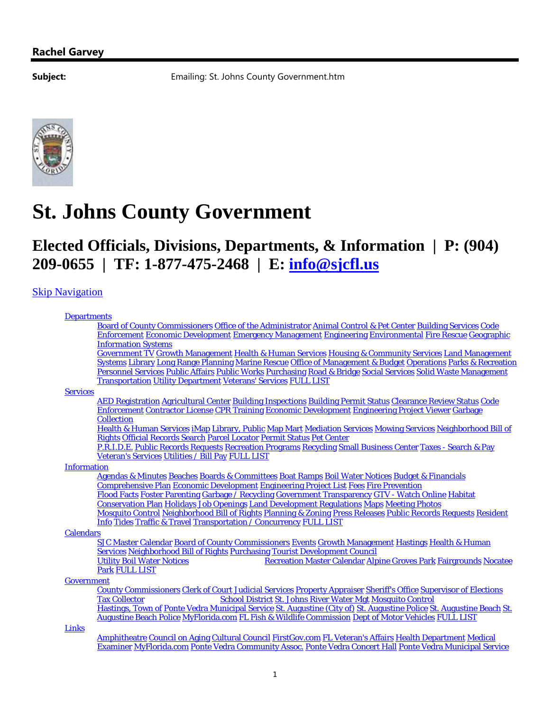**Subject:** Emailing: St. Johns County Government.htm



# **St. Johns County Government**

## **Elected Officials, Divisions, Departments, & Information | P: (904) 209-0655 | TF: 1-877-475-2468 | E: info@sjcfl.us**

## **Skip Navigation**

#### **Departments**

| Board of County Commissioners Office of the Administrator Animal Control & Pet Center Building Services Code  |  |  |                                                                                    |  |  |  |                     |  |  |  |
|---------------------------------------------------------------------------------------------------------------|--|--|------------------------------------------------------------------------------------|--|--|--|---------------------|--|--|--|
| <b>Enforcement Economic Development Emergency Management Engineering Environmental Fire Rescue Geographic</b> |  |  |                                                                                    |  |  |  |                     |  |  |  |
| <b>Information Systems</b>                                                                                    |  |  | $\mathbf{r}$ , and $\mathbf{r}$ and $\mathbf{r}$ and $\mathbf{r}$ and $\mathbf{r}$ |  |  |  | a tri aan waxay tar |  |  |  |

Government TV Growth Management Health & Human Services Housing & Community Services Land Management Systems Library Long Range Planning Marine Rescue Office of Management & Budget Operations Parks & Recreation Personnel Services Public Affairs Public Works Purchasing Road & Bridge Social Services Solid Waste Management Transportation Utility Department Veterans' Services FULL LIST

#### **Services**

**AED Registration Agricultural Center Building Inspections Building Permit Status Clearance Review Status Code** Enforcement Contractor License CPR Training Economic Development Engineering Project Viewer Garbage **Collection** 

Health & Human Services iMap Library, Public Map Mart Mediation Services Mowing Services Neighborhood Bill of Rights Official Records Search Parcel Locator Permit Status Pet Center

P.R.I.D.E. Public Records Requests Recreation Programs Recycling Small Business Center Taxes - Search & Pay Veteran's Services Utilities / Bill Pay FULL LIST

#### Information

Agendas & Minutes Beaches Boards & Committees Boat Ramps Boil Water Notices Budget & Financials Comprehensive Plan Economic Development Engineering Project List Fees Fire Prevention Flood Facts Foster Parenting Garbage / Recycling Government Transparency GTV - Watch Online Habitat Conservation Plan Holidays Job Openings Land Development Regulations Maps Meeting Photos Mosquito Control Neighborhood Bill of Rights Planning & Zoning Press Releases Public Records Requests Resident Info Tides Traffic & Travel Transportation / Concurrency FULL LIST

#### **Calendars**

SJC Master Calendar Board of County Commissioners Events Growth Management Hastings Health & Human **Services Neighborhood Bill of Rights Purchasing Tourist Development Council** o Utility Boil Water Notices ................................. Recreation Master Calendar Alpine Groves Park Fairgrounds Nocatee Park FULL LIST

#### **Government**

**County Commissioners Clerk of Court Judicial Services Property Appraiser Sheriff's Office Supervisor of Elections**<br>Tax Collector **School District St. Johns River Water Met Mosquito Control** School District St. Johns River Water Mgt Mosquito Control Hastings, Town of Ponte Vedra Municipal Service St. Augustine (City of) St. Augustine Police St. Augustine Beach St. Augustine Beach Police MyFlorida.com FL Fish & Wildlife Commission Dept of Motor Vehicles FULL LIST

Links

Amphitheatre Council on Aging Cultural Council FirstGov.com FL Veteran's Affairs Health Department Medical Examiner MyFlorida.com Ponte Vedra Community Assoc. Ponte Vedra Concert Hall Ponte Vedra Municipal Service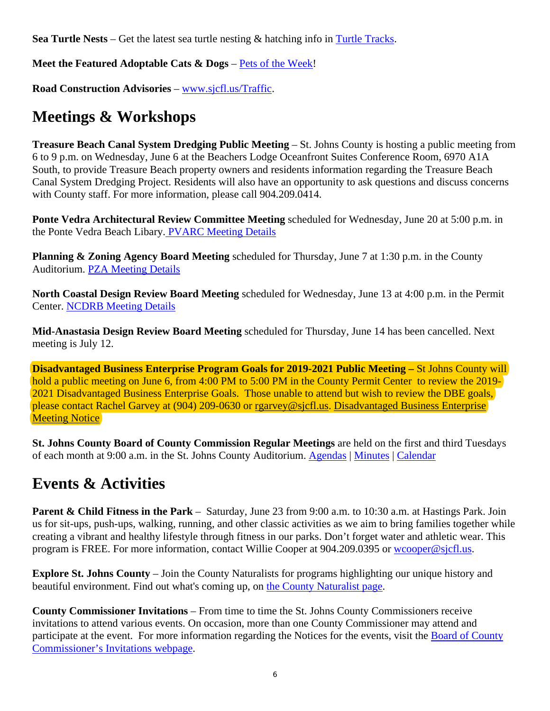**Sea Turtle Nests** – Get the latest sea turtle nesting & hatching info in Turtle Tracks.

**Meet the Featured Adoptable Cats & Dogs** – Pets of the Week!

**Road Construction Advisories** – www.sjcfl.us/Traffic.

# **Meetings & Workshops**

**Treasure Beach Canal System Dredging Public Meeting – St. Johns County is hosting a public meeting from** 6 to 9 p.m. on Wednesday, June 6 at the Beachers Lodge Oceanfront Suites Conference Room, 6970 A1A South, to provide Treasure Beach property owners and residents information regarding the Treasure Beach Canal System Dredging Project. Residents will also have an opportunity to ask questions and discuss concerns with County staff. For more information, please call 904.209.0414.

**Ponte Vedra Architectural Review Committee Meeting** scheduled for Wednesday, June 20 at 5:00 p.m. in the Ponte Vedra Beach Libary. PVARC Meeting Details

**Planning & Zoning Agency Board Meeting** scheduled for Thursday, June 7 at 1:30 p.m. in the County Auditorium. PZA Meeting Details

**North Coastal Design Review Board Meeting** scheduled for Wednesday, June 13 at 4:00 p.m. in the Permit Center. NCDRB Meeting Details

**Mid-Anastasia Design Review Board Meeting** scheduled for Thursday, June 14 has been cancelled. Next meeting is July 12.

**Disadvantaged Business Enterprise Program Goals for 2019-2021 Public Meeting – St Johns County will** hold a public meeting on June 6, from 4:00 PM to 5:00 PM in the County Permit Center to review the 2019-2021 Disadvantaged Business Enterprise Goals. Those unable to attend but wish to review the DBE goals, please contact Rachel Garvey at (904) 209-0630 or rgarvey@sjcfl.us. Disadvantaged Business Enterprise **Meeting Notice** 

**St. Johns County Board of County Commission Regular Meetings** are held on the first and third Tuesdays of each month at 9:00 a.m. in the St. Johns County Auditorium. Agendas | Minutes | Calendar

## **Events & Activities**

**Parent & Child Fitness in the Park** – Saturday, June 23 from 9:00 a.m. to 10:30 a.m. at Hastings Park. Join us for sit-ups, push-ups, walking, running, and other classic activities as we aim to bring families together while creating a vibrant and healthy lifestyle through fitness in our parks. Don't forget water and athletic wear. This program is FREE. For more information, contact Willie Cooper at 904.209.0395 or wcooper@sjcfl.us.

**Explore St. Johns County** – Join the County Naturalists for programs highlighting our unique history and beautiful environment. Find out what's coming up, on the County Naturalist page.

**County Commissioner Invitations** – From time to time the St. Johns County Commissioners receive invitations to attend various events. On occasion, more than one County Commissioner may attend and participate at the event. For more information regarding the Notices for the events, visit the **Board of County** Commissioner's Invitations webpage.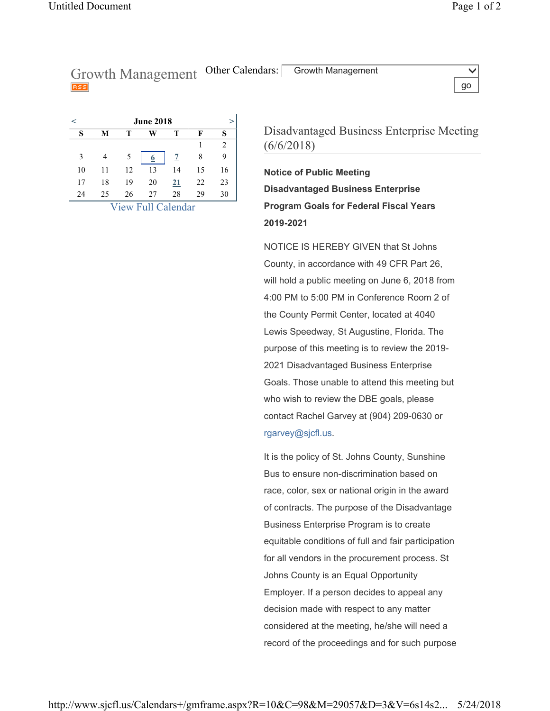Growth Management Other Calendars: Growth Management go

|    | <b>June 2018</b> |    |                         |                        |    |                |  |  |
|----|------------------|----|-------------------------|------------------------|----|----------------|--|--|
| S  | М                | т  | W                       | т                      | F  | S              |  |  |
|    |                  |    |                         |                        |    | $\overline{2}$ |  |  |
| 3  |                  | 5  | $\overline{\mathbf{p}}$ | 7                      | 8  | 9              |  |  |
| 10 | 11               | 12 | 13                      | 14                     | 15 | 16             |  |  |
| 17 | 18               | 19 | 20                      | $\overline{21}$        | 22 | 23             |  |  |
| 24 | 25               | 26 | 27<br>. .<br>-          | 28<br>$\sim$<br>$\sim$ | 29 | 30             |  |  |

View Full Calendar

Disadvantaged Business Enterprise Meeting (6/6/2018)

**Notice of Public Meeting Disadvantaged Business Enterprise Program Goals for Federal Fiscal Years 2019-2021**

NOTICE IS HEREBY GIVEN that St Johns County, in accordance with 49 CFR Part 26, will hold a public meeting on June 6, 2018 from 4:00 PM to 5:00 PM in Conference Room 2 of the County Permit Center, located at 4040 Lewis Speedway, St Augustine, Florida. The purpose of this meeting is to review the 2019- 2021 Disadvantaged Business Enterprise Goals. Those unable to attend this meeting but who wish to review the DBE goals, please contact Rachel Garvey at (904) 209-0630 or rgarvey@sjcfl.us.

It is the policy of St. Johns County, Sunshine Bus to ensure non-discrimination based on race, color, sex or national origin in the award of contracts. The purpose of the Disadvantage Business Enterprise Program is to create equitable conditions of full and fair participation for all vendors in the procurement process. St Johns County is an Equal Opportunity Employer. If a person decides to appeal any decision made with respect to any matter considered at the meeting, he/she will need a record of the proceedings and for such purpose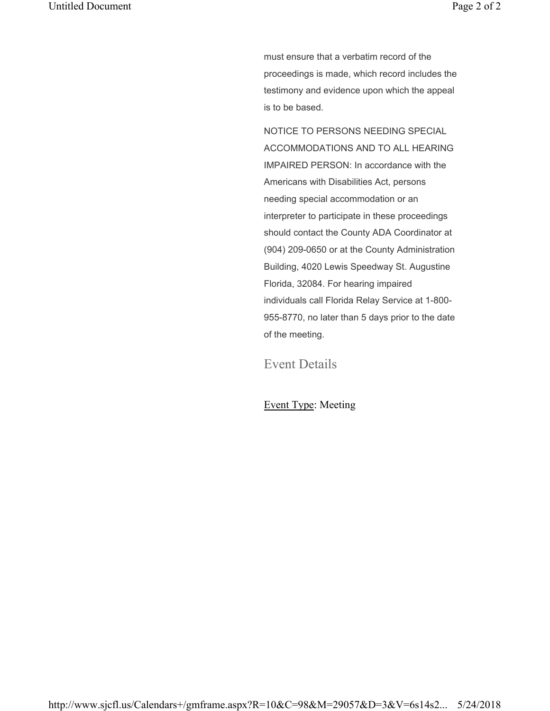must ensure that a verbatim record of the proceedings is made, which record includes the testimony and evidence upon which the appeal is to be based.

NOTICE TO PERSONS NEEDING SPECIAL ACCOMMODATIONS AND TO ALL HEARING IMPAIRED PERSON: In accordance with the Americans with Disabilities Act, persons needing special accommodation or an interpreter to participate in these proceedings should contact the County ADA Coordinator at (904) 209-0650 or at the County Administration Building, 4020 Lewis Speedway St. Augustine Florida, 32084. For hearing impaired individuals call Florida Relay Service at 1-800- 955-8770, no later than 5 days prior to the date of the meeting.

Event Details

## Event Type: Meeting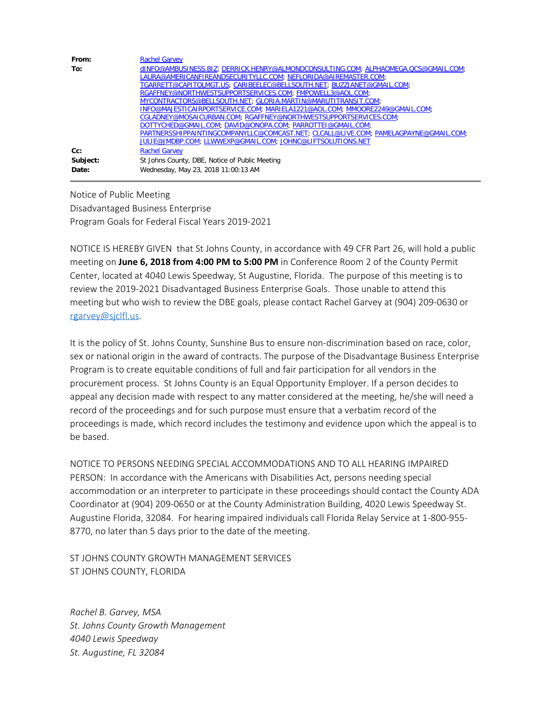| From:    | <b>Rachel Garvey</b>                                                                 |
|----------|--------------------------------------------------------------------------------------|
| To:      | dINFO@AMBUSINESS.BIZ; DERRICK.HENRY@ALMONDCONSULTING.COM; ALPHAOMEGA.QCS@GMAIL.COM;  |
|          |                                                                                      |
|          | TGARRETT@CAPITOLMGT.US; CARIBEELEC@BELLSOUTH.NET; BUZZJANET@GMAIL.COM;               |
|          | RGAFFNEY@NORTHWESTSUPPORTSERVICES.COM; FMPOWELL3@AOL.COM;                            |
|          | MYCONTRACTORS@BELLSOUTH.NET; GLORIA.MARTIN@MARUTITRANSIT.COM;                        |
|          | INFO@MAJESTICAIRPORTSERVICE.COM; MARIELA1221@AOL.COM; MMOORE2249@GMAIL.COM;          |
|          | CGLADNEY@MOSAICURBAN.COM; RGAFFNEY@NORTHWESTSUPPORTSERVICES.COM;                     |
|          | DOTTYCHED@GMAIL.COM; DAVID@ONOPA.COM; PARROTTEI@GMAIL.COM;                           |
|          | PARTNERSSHIPPAINTINGCOMPANYLLC@COMCAST.NET; CLCALL@LIVE.COM; PAMELAGPAYNE@GMAIL.COM; |
|          | JULIE@JMDBP.COM; LLWWEXP@GMAIL.COM; JOHNC@LIFTSOLUTIONS.NET                          |
| $Cc$ :   | <b>Rachel Garvey</b>                                                                 |
| Subject: | St Johns County, DBE, Notice of Public Meeting                                       |
| Date:    | Wednesday, May 23, 2018 11:00:13 AM                                                  |

Notice of Public Meeting Disadvantaged Business Enterprise Program Goals for Federal Fiscal Years 2019-2021

NOTICE IS HEREBY GIVEN that St Johns County, in accordance with 49 CFR Part 26, will hold a public meeting on **June 6, 2018 from 4:00 PM to 5:00 PM** in Conference Room 2 of the County Permit Center, located at 4040 Lewis Speedway, St Augustine, Florida. The purpose of this meeting is to review the 2019-2021 Disadvantaged Business Enterprise Goals. Those unable to attend this meeting but who wish to review the DBE goals, please contact Rachel Garvey at (904) 209-0630 or [rgarvey@sjclfl.us.](mailto:rgarvey@sjclfl.us)

It is the policy of St. Johns County, Sunshine Bus to ensure non-discrimination based on race, color, sex or national origin in the award of contracts. The purpose of the Disadvantage Business Enterprise Program is to create equitable conditions of full and fair participation for all vendors in the procurement process. St Johns County is an Equal Opportunity Employer. If a person decides to appeal any decision made with respect to any matter considered at the meeting, he/she will need a record of the proceedings and for such purpose must ensure that a verbatim record of the proceedings is made, which record includes the testimony and evidence upon which the appeal is to be based.

NOTICE TO PERSONS NEEDING SPECIAL ACCOMMODATIONS AND TO ALL HEARING IMPAIRED PERSON: In accordance with the Americans with Disabilities Act, persons needing special accommodation or an interpreter to participate in these proceedings should contact the County ADA Coordinator at (904) 209-0650 or at the County Administration Building, 4020 Lewis Speedway St. Augustine Florida, 32084. For hearing impaired individuals call Florida Relay Service at 1-800-955- 8770, no later than 5 days prior to the date of the meeting.

ST JOHNS COUNTY GROWTH MANAGEMENT SERVICES ST JOHNS COUNTY, FLORIDA

*Rachel B. Garvey, MSA St. Johns County Growth Management 4040 Lewis Speedway St. Augustine, FL 32084*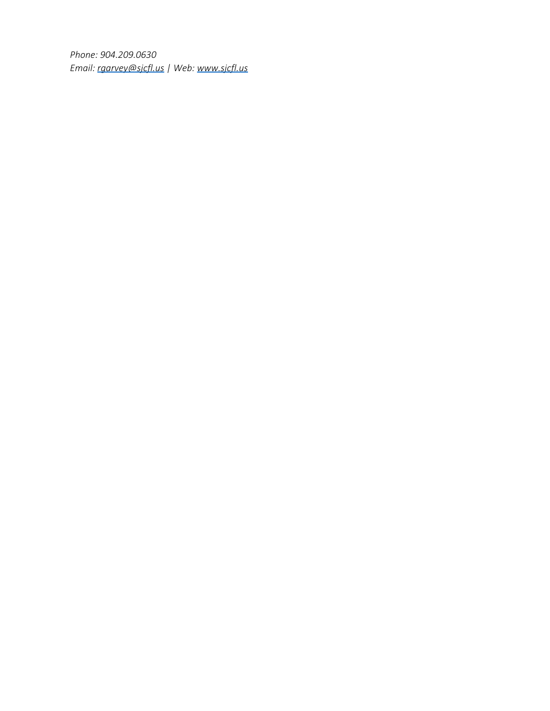*Phone: 904.209.0630 Email: [rgarvey@sjcfl.us](mailto:rgarvey@sjcfl.us) | Web: [www.sjcfl.us](http://www.sjcfl.us/)*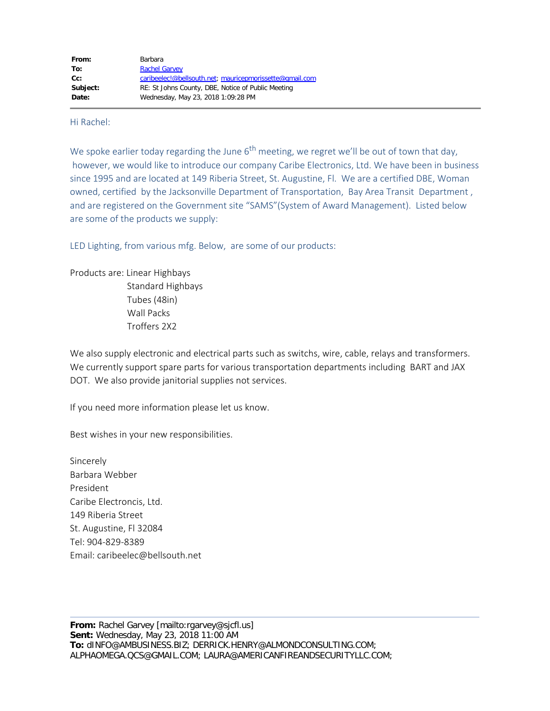### Hi Rachel:

We spoke earlier today regarding the June  $6<sup>th</sup>$  meeting, we regret we'll be out of town that day, however, we would like to introduce our company Caribe Electronics, Ltd. We have been in business since 1995 and are located at 149 Riberia Street, St. Augustine, Fl. We are a certified DBE, Woman owned, certified by the Jacksonville Department of Transportation, Bay Area Transit Department , and are registered on the Government site "SAMS"(System of Award Management). Listed below are some of the products we supply:

LED Lighting, from various mfg. Below, are some of our products:

Products are: Linear Highbays Standard Highbays Tubes (48in) Wall Packs Troffers 2X2

We also supply electronic and electrical parts such as switchs, wire, cable, relays and transformers. We currently support spare parts for various transportation departments including BART and JAX DOT. We also provide janitorial supplies not services.

If you need more information please let us know.

Best wishes in your new responsibilities.

Sincerely Barbara Webber President Caribe Electroncis, Ltd. 149 Riberia Street St. Augustine, Fl 32084 Tel: 904-829-8389 Email: caribeelec@bellsouth.net